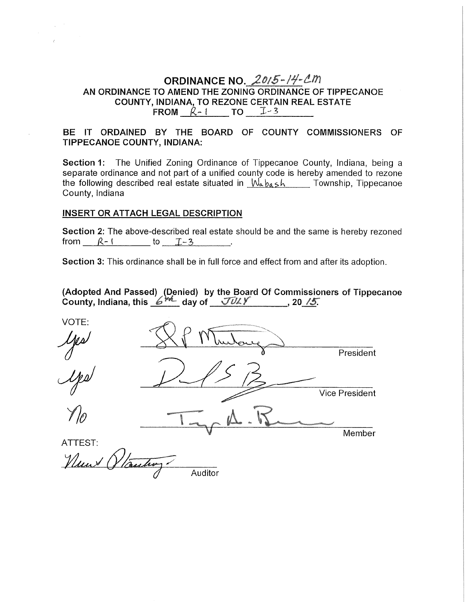# ORDINANCE NO.  $20/5$ -/4- $\ell$ m AN ORDINANCE TO AMEND THE ZONING ORDINANCE OF TIPPECANOE COUNTY, INDIANA, TO REZONE CERTAIN REAL ESTATE<br>FROM  $R-1$  To  $I-3$

## BE IT ORDAINED BY THE BOARD OF COUNTY COMMISSIONERS OF TIPPECANOE COUNTY, INDIANA:

Section 1: The Unified Zoning Ordinance of Tippecanoe County, Indiana, being a separate ordinance and not part of a unified county code is hereby amended to rezone the following described real estate situated in  $\mathcal{N}_{\alpha}$  b<sub>a s</sub>h Township, Tippecanoe County, Indiana

## INSERT OR ATTACH LEGAL DESCRIPTION

**Section 2:** The above-described real estate should be and the same is hereby rezoned from \_\_\_\_\_\_\_\_\_ to \_\_\_\_\_\_\_\_\_.

Section 3: This ordinance shall be in full force and effect from and after its adoption.

(Adopted And Passed) (Denied) by the Board Of Commissioners of Tippecanoe County, Indiana, this <u>6 the day</u> of *JULY* \_\_\_\_\_\_, 20 <u>/5</u>.

VOTE: President J)JJ;~~ */3* Vice President Member ATTEST: New Vlanting ~ Auditor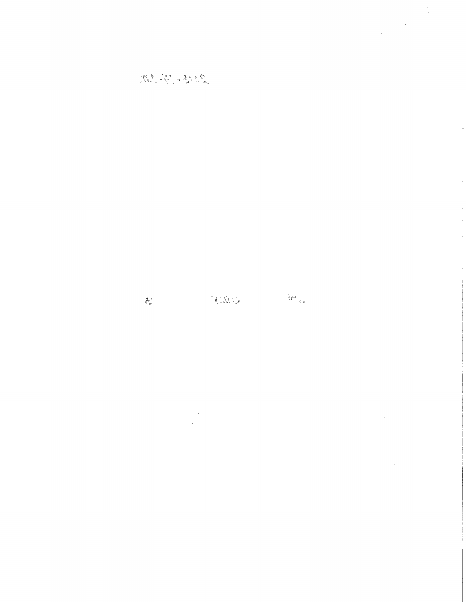#### $\mathcal{M}_{\mathbb{Q}}$  $\mathcal{L}^{\leftarrow}_{\sigma}$ **SIDAY**

 $\label{eq:2} \frac{1}{\sqrt{2}}\int_{0}^{\infty}\frac{1}{\sqrt{2\pi}}\left(\frac{1}{\sqrt{2}}\right)^{2}d\mu_{\rm{max}}^{2}$  $\hat{p}$  and  $\hat{p}$ 

 $\label{eq:2.1} \begin{split} \mathcal{L}_{\text{max}}(\mathbf{r}) & = \frac{1}{2} \mathcal{L}_{\text{max}}(\mathbf{r}) \mathcal{L}_{\text{max}}(\mathbf{r}) \\ & = \frac{1}{2} \mathcal{L}_{\text{max}}(\mathbf{r}) \mathcal{L}_{\text{max}}(\mathbf{r}) \mathcal{L}_{\text{max}}(\mathbf{r}) \mathcal{L}_{\text{max}}(\mathbf{r}) \mathcal{L}_{\text{max}}(\mathbf{r}) \mathcal{L}_{\text{max}}(\mathbf{r}) \mathcal{L}_{\text{max}}(\mathbf{r}) \mathcal{L}_{\text{max}}(\mathbf{r})$ 

 $\mathcal{L}^{\text{max}}_{\text{max}}$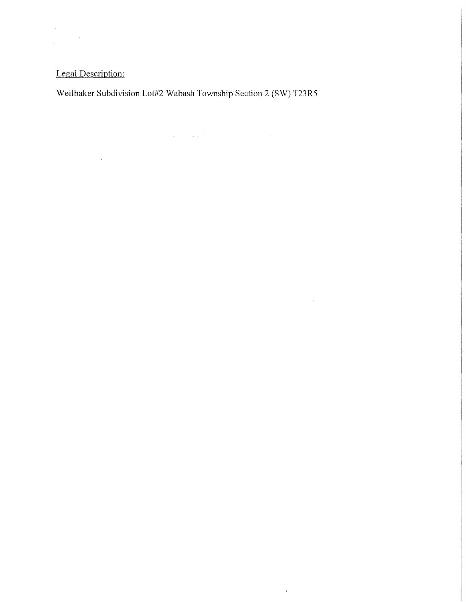Legal Description:

 $\mathcal{L}(\mathbf{q},\mathbf{q})$  ,  $\mathcal{L}(\mathbf{q},\mathbf{q})$ 

 $\label{eq:2} \mathcal{A} = \frac{1}{2} \sum_{i=1}^n \mathcal{A}_i \mathcal{A}_i$ 

 $\tilde{\mathcal{L}}$ 

Weilbaker Subdivision Lot#2 Wabash Township Section 2 (SW) T23R5

 $\label{eq:2.1} \frac{1}{\sqrt{2\pi}}\int_{\mathbb{R}^3}\frac{1}{\sqrt{2\pi}}\left(\frac{1}{\sqrt{2\pi}}\right)^2\frac{1}{\sqrt{2\pi}}\int_{\mathbb{R}^3}\frac{1}{\sqrt{2\pi}}\left(\frac{1}{\sqrt{2\pi}}\right)^2\frac{1}{\sqrt{2\pi}}\frac{1}{\sqrt{2\pi}}\int_{\mathbb{R}^3}\frac{1}{\sqrt{2\pi}}\frac{1}{\sqrt{2\pi}}\frac{1}{\sqrt{2\pi}}\frac{1}{\sqrt{2\pi}}\frac{1}{\sqrt{2\pi}}\frac{1}{\sqrt{2\$ 

 $\label{eq:2.1} \frac{1}{\sqrt{2\pi}}\int_{\mathbb{R}^3}\frac{1}{\sqrt{2\pi}}\int_{\mathbb{R}^3}\frac{1}{\sqrt{2\pi}}\int_{\mathbb{R}^3}\frac{1}{\sqrt{2\pi}}\int_{\mathbb{R}^3}\frac{1}{\sqrt{2\pi}}\int_{\mathbb{R}^3}\frac{1}{\sqrt{2\pi}}\int_{\mathbb{R}^3}\frac{1}{\sqrt{2\pi}}\int_{\mathbb{R}^3}\frac{1}{\sqrt{2\pi}}\int_{\mathbb{R}^3}\frac{1}{\sqrt{2\pi}}\int_{\mathbb{R}^3}\frac{1$ 

 $\hat{\mathbf{v}}$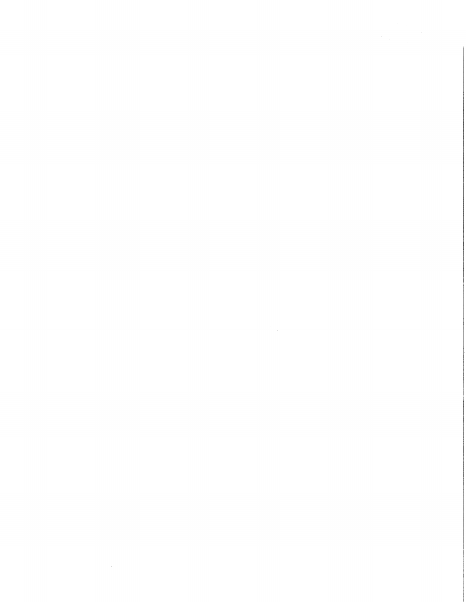$\label{eq:2} \begin{split} \mathcal{L}_{\text{max}} &= \frac{1}{2} \sum_{i=1}^{N} \frac{1}{2} \left( \frac{1}{2} \sum_{i=1}^{N} \frac{1}{2} \right) \left( \frac{1}{2} \sum_{i=1}^{N} \frac{1}{2} \right) \left( \frac{1}{2} \sum_{i=1}^{N} \frac{1}{2} \right) \left( \frac{1}{2} \sum_{i=1}^{N} \frac{1}{2} \right) \left( \frac{1}{2} \sum_{i=1}^{N} \frac{1}{2} \right) \left( \frac{1}{2} \sum_{i=1}^{N} \frac$ 

 $\label{eq:2.1} \frac{1}{\sqrt{2}}\left(\frac{1}{\sqrt{2}}\right)^{2} \left(\frac{1}{\sqrt{2}}\right)^{2} \left(\frac{1}{\sqrt{2}}\right)^{2} \left(\frac{1}{\sqrt{2}}\right)^{2} \left(\frac{1}{\sqrt{2}}\right)^{2} \left(\frac{1}{\sqrt{2}}\right)^{2} \left(\frac{1}{\sqrt{2}}\right)^{2} \left(\frac{1}{\sqrt{2}}\right)^{2} \left(\frac{1}{\sqrt{2}}\right)^{2} \left(\frac{1}{\sqrt{2}}\right)^{2} \left(\frac{1}{\sqrt{2}}\right)^{2} \left(\$ 

 $\label{eq:2.1} \frac{1}{\sqrt{2}}\sum_{i=1}^n\frac{1}{\sqrt{2}}\sum_{j=1}^n\frac{1}{\sqrt{2}}\sum_{j=1}^n\frac{1}{\sqrt{2}}\sum_{j=1}^n\frac{1}{\sqrt{2}}\sum_{j=1}^n\frac{1}{\sqrt{2}}\sum_{j=1}^n\frac{1}{\sqrt{2}}\sum_{j=1}^n\frac{1}{\sqrt{2}}\sum_{j=1}^n\frac{1}{\sqrt{2}}\sum_{j=1}^n\frac{1}{\sqrt{2}}\sum_{j=1}^n\frac{1}{\sqrt{2}}\sum_{j=1}^n\frac$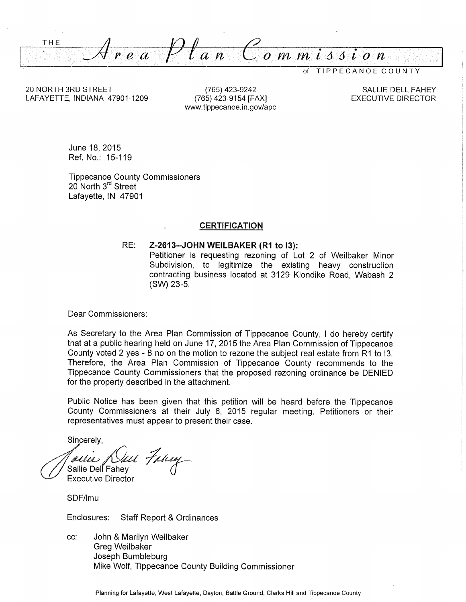$\Box$   $\overline{\mathcal{A}}$  , rea Plan Commission

T I P P E C A N O E C O U N T Y

20 NORTH 3RD STREET LAFAYETTE, INDIANA 47901-1209

(765) 423-9242 (765) 423-9154 [FAX] www.tippecanoe.in.gov/apc

SALLIE DELL FAHEY EXECUTIVE DIRECTOR

June 18, 2015 Ref. No.: 15-119

Tippecanoe County Commissioners 20 North 3<sup>rd</sup> Street Lafayette, IN 47901

#### **CERTIFICATION**

#### RE: **Z-2613--JOHN WEILBAKER (R1 to** 13): Petitioner is requesting rezoning of Lot 2 of Weilbaker Minor Subdivision, to legitimize the existing heavy construction contracting business located at 3129 Klondike Road, Wabash 2 (SW) 23-5.

Dear Commissioners:

As Secretary to the Area Plan Commission of Tippecanoe County, I do hereby certify that at a public hearing held on June 17, 2015 the Area Plan Commission of Tippecanoe County voted 2 yes - 8 no on the motion to rezone the subject real estate from R1 to 13. Therefore, the Area Plan Commission of Tippecanoe County recommends to the Tippecanoe County Commissioners that the proposed rezoning ordinance be DENIED for the property described in the attachment.

Public Notice has been given that this petition will be heard before the Tippecanoe County Commissioners at their July 6, 2015 regular meeting. Petitioners or their representatives must appear to present their case.

Sincerely,

Julie *Kull Fahry*<br>Sallie Dell Fahey<br>Executive Director

SDF/lmu

Enclosures: Staff Report & Ordinances

cc: John & Marilyn Weilbaker Greg Weilbaker Joseph Bumbleburg Mike Wolf, Tippecanoe County Building Commissioner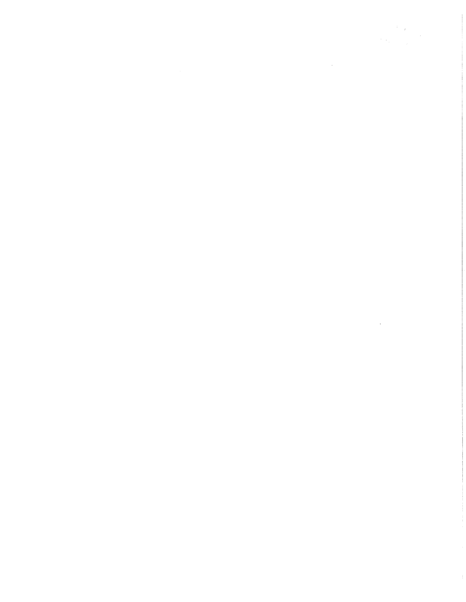$\label{eq:2} \begin{split} \mathcal{F}_{\text{eff}} &= \frac{1}{2} \sum_{i=1}^{N} \mathcal{F}_{\text{eff}} \\ \mathcal{F}_{\text{eff}} &= \frac{1}{2} \sum_{i=1}^{N} \mathcal{F}_{\text{eff}} \\ \mathcal{F}_{\text{eff}} &= \frac{1}{2} \sum_{i=1}^{N} \mathcal{F}_{\text{eff}} \\ \mathcal{F}_{\text{eff}} &= \frac{1}{2} \sum_{i=1}^{N} \mathcal{F}_{\text{eff}} \\ \mathcal{F}_{\text{eff}} &= \frac{1}{2} \sum_{i=1}^{N} \mathcal{F}_{\text{eff}} \\ \mathcal$ 

 $\mathcal{L}^{\text{max}}_{\text{max}}$  .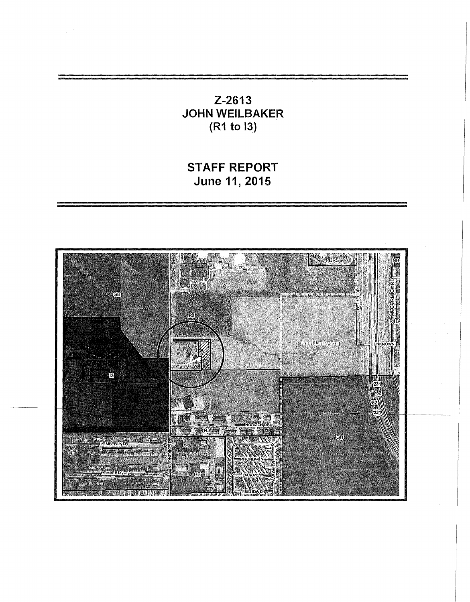Z-2613 JOHN WEILBAKER (R1 to 13)

STAFF REPORT June 11, 2015

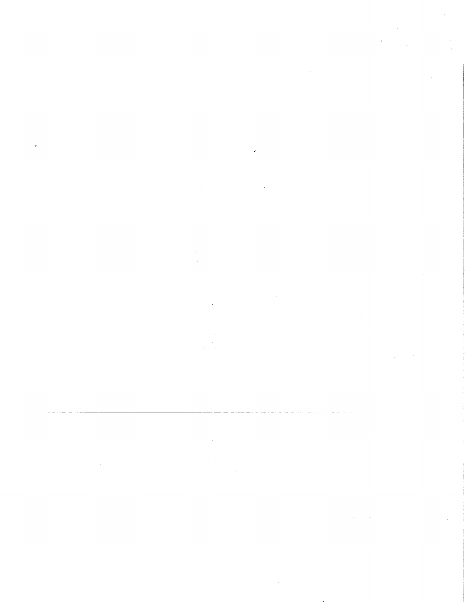$\label{eq:2.1} \frac{d\mathbf{r}}{d\mathbf{r}} = \frac{d\mathbf{r}}{d\mathbf{r}}\left(\frac{\partial \mathbf{r}}{d\mathbf{r}}\right) \mathbf{r}$  $\langle \hat{r} \rangle$ 

 $\mathcal{L}^{\text{max}}_{\text{max}}$ 

 $\sim$ 

 $\label{eq:2.1} \begin{split} \mathcal{L}_{\text{max}}(\mathbf{r}) &= \mathcal{L}_{\text{max}}(\mathbf{r}) \mathcal{L}_{\text{max}}(\mathbf{r}) \mathcal{L}_{\text{max}}(\mathbf{r}) \mathcal{L}_{\text{max}}(\mathbf{r}) \mathcal{L}_{\text{max}}(\mathbf{r}) \mathcal{L}_{\text{max}}(\mathbf{r}) \mathcal{L}_{\text{max}}(\mathbf{r}) \mathcal{L}_{\text{max}}(\mathbf{r}) \mathcal{L}_{\text{max}}(\mathbf{r}) \mathcal{L}_{\text{max}}(\mathbf{r}) \mathcal{L}_{\text{max}}(\mathbf{r}) \$  $\label{eq:2.1} \frac{1}{\sqrt{2}}\sum_{i=1}^n\frac{1}{\sqrt{2}}\sum_{i=1}^n\frac{1}{\sqrt{2}}\sum_{i=1}^n\frac{1}{\sqrt{2}}\sum_{i=1}^n\frac{1}{\sqrt{2}}\sum_{i=1}^n\frac{1}{\sqrt{2}}\sum_{i=1}^n\frac{1}{\sqrt{2}}\sum_{i=1}^n\frac{1}{\sqrt{2}}\sum_{i=1}^n\frac{1}{\sqrt{2}}\sum_{i=1}^n\frac{1}{\sqrt{2}}\sum_{i=1}^n\frac{1}{\sqrt{2}}\sum_{i=1}^n\frac$  $\label{eq:2} \mathcal{A}_{\mathcal{A}} = \mathcal{A}_{\mathcal{A}} \left( \mathcal{A}_{\mathcal{A}} \right)$ 

 $\sigma_{\rm{eff}}$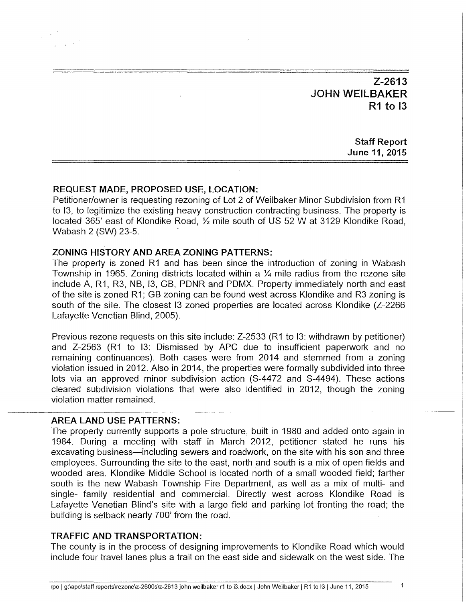Z-2613 JOHN WEILBAKER R1 to <sup>13</sup>

> Staff Report June 11, 2015

# REQUEST MADE, PROPOSED USE, LOCATION:

Petitioner/owner is requesting rezoning of Lot 2 of Weilbaker Minor Subdivision from R1 to 13, to legitimize the existing heavy construction contracting business. The property is located 365' east of Klondike Road, Yz mile south of US 52 Wat 3129 Klondike Road, Wabash 2 (SW) 23-5.

#### ZONING HISTORY AND AREA ZONING PATTERNS:

The property is zoned R1 and has been since the introduction of zoning in Wabash Township in 1965. Zoning districts located within a  $\frac{1}{4}$  mile radius from the rezone site include A, R1, R3, NB, 13, GB, PDNR and PDMX. Property immediately north and east of the site is zoned R 1; GB zoning can be found west across Klondike and R3 zoning is south of the site. The closest 13 zoned properties are located across Klondike (Z-2266 Lafayette Venetian Blind, 2005).

Previous rezone requests on this site include: Z-2533 (R1 to 13: withdrawn by petitioner) and Z-2563 (R1 to 13: Dismissed by APC due to insufficient paperwork and no remaining continuances). Both cases were from 2014 and stemmed from a zoning violation issued in 2012. Also in 2014, the properties were formally subdivided into three lots via an approved minor subdivision action (S-4472 and S-4494). These actions cleared subdivision violations that were also identified in 2012, though the zoning violation matter remained.

#### AREA LAND USE PATTERNS:

The property currently supports a pole structure, built in 1980 and added onto again in 1984. During a meeting with staff in March 2012, petitioner stated he runs his excavating business—including sewers and roadwork, on the site with his son and three employees. Surrounding the site to the east, north and south is a mix of open fields and wooded area. Klondike Middle School is located north of a small wooded field; farther south is the new Wabash Township Fire Department, as well as a mix of multi- and single- family residential and commercial. Directly west across Klondike Road is Lafayette Venetian Blind's site with a large field and parking lot fronting the road; the buiiding is setback nearly 700' from the road.

# TRAFFIC AND TRANSPORTATION:

The county is in the process of designing improvements to Klondike Road which would include four travel lanes plus a trail on the east side and sidewalk on the west side. The

 $\overline{\mathbf{1}}$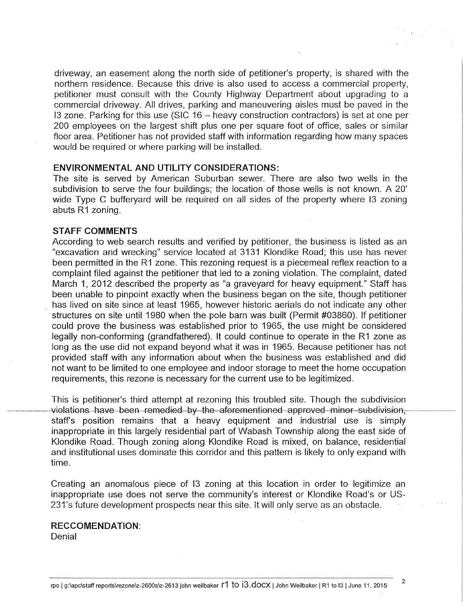driveway, an easement along the north side of petitioner's property, is shared with the northern residence. Because this drive is also used to access a commercial property, petitioner must consult with the County Highway Department about upgrading to a commercial driveway. All drives, parking and maneuvering aisles must be paved in the 13 zone. Parking for this use (SIC 16 - heavy construction contractors) is set at one per 200 employees on the largest shift plus one per square foot of office, sales or similar floor area. Petitioner has not provided staff with information regarding how many spaces would be required or where parking will be installed.

#### **ENVIRONMENTAL AND UTILITY CONSIDERATIONS:**

The site is served by American Suburban sewer. There are also two wells in the subdivision to serve the four buildings; the location of those wells is not known. A 20' wide Type C bufferyard will be required on all sides of the property where 13 zoning abuts R1 zoning.

#### **STAFF COMMENTS**

According to web search results and verified by petitioner, the business is listed as an "excavation and wrecking" service located at 3131 Klondike Road; this use has never been permitted in the R1 zone. This rezoning request is a piecemeal reflex reaction to a complaint filed against the petitioner that led to a zoning violation. The complaint, dated March 1, 2012 described the property as "a graveyard for heavy equipment." Staff has been unable to pinpoint exactly when the business began on the site, though petitioner has lived on site since at least 1965, however historic aerials do not indicate any other structures on site until 1980 when the pole barn was built (Permit #03860). If petitioner could prove the business was established prior to 1965, the use might be considered legally non-conforming (grandfathered). It could continue to operate in the R1 zone as long as the use did not expand beyond what it was in 1965. Because petitioner has not provided staff with any information about when the business was established and did not want to be limited to one employee and indoor storage to meet the home occupation requirements, this rezone is necessary for the current use to be legitimized.

This is petitioner's third attempt at rezoning this troubled site. Though the subdivision violations have been remedied by the aforementioned approved minor subdivision, staff's position remains that a heavy equipment and industrial use is simply inappropriate in this largely residential part of Wabash Township along the east side of Klondike Road. Though zoning along Klondike Road is mixed, on balance, residential and institutional uses dominate this corridor and this pattern is likely to only expand with time.

Creating an anomalous piece of 13 zoning at this location in order to legitimize an inappropriate use does not serve the community's interest or Klondike Road's or US-231's future development prospects near this site. It will only serve as an obstacle.

#### **RECCOMENDATION:**

Denial